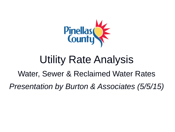

# Utility Rate Analysis

### Water, Sewer & Reclaimed Water Rates

*Presentation by Burton & Associates (5/5/15)*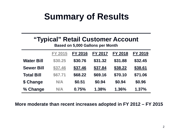# **Summary of Results**

### **"Typical" Retail Customer Account**

**Based on 5,000 Gallons per Month**

|                   | <b>FY 2015</b> | <b>FY 2016</b> | <b>FY 2017</b> | <b>FY 2018</b> | <b>FY 2019</b> |
|-------------------|----------------|----------------|----------------|----------------|----------------|
| <b>Water Bill</b> | \$30.25        | \$30.76        | \$31.32        | \$31.88        | \$32.45        |
| <b>Sewer Bill</b> | \$37.46        | \$37.46        | \$37.84        | \$38.22        | \$38.61        |
| <b>Total Bill</b> | \$67.71        | \$68.22        | \$69.16        | \$70.10        | \$71.06        |
| \$ Change         | N/A            | \$0.51         | \$0.94         | \$0.94         | \$0.96         |
| % Change          | N/A            | 0.75%          | 1.38%          | 1.36%          | 1.37%          |

**More moderate than recent increases adopted in FY 2012 – FY 2015**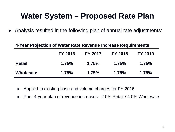### **Water System – Proposed Rate Plan**

► Analysis resulted in the following plan of annual rate adjustments:

### **4-Year Projection of Water Rate Revenue Increase Requirements**

|               | <b>FY 2016</b> | <b>FY 2017</b> | <b>FY 2018</b> | <b>FY 2019</b> |
|---------------|----------------|----------------|----------------|----------------|
| <b>Retail</b> | 1.75%          | 1.75%          | 1.75%          | 1.75%          |
| Wholesale     | 1.75%          | 1.75%          | 1.75%          | 1.75%          |

- ► Applied to existing base and volume charges for FY 2016
- ► Prior 4-year plan of revenue increases: 2.0% Retail / 4.0% Wholesale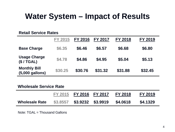### **Water System – Impact of Results**

#### **Retail Service Rates**

|                                          | <b>FY 2015</b> | <b>FY 2016</b> | <b>FY 2017</b> | <b>FY 2018</b> | FY 2019 |
|------------------------------------------|----------------|----------------|----------------|----------------|---------|
| <b>Base Charge</b>                       | \$6.35         | \$6.46         | \$6.57         | \$6.68         | \$6.80  |
| <b>Usage Charge</b><br>(\$/TGAL)         | \$4.78         | \$4.86         | \$4.95         | \$5.04         | \$5.13  |
| <b>Monthly Bill</b><br>$(5,000$ gallons) | \$30.25        | \$30.76        | \$31.32        | \$31.88        | \$32.45 |

#### **Wholesale Service Rate**

|                       |          | FY 2015 FY 2016 FY 2017 | <b>FY 2018</b> | FY 2019  |
|-----------------------|----------|-------------------------|----------------|----------|
| <b>Wholesale Rate</b> | \$3,8557 | \$3.9232 \$3.9919       | \$4.0618       | \$4.1329 |

Note: TGAL = Thousand Gallons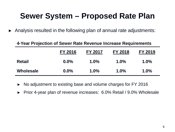### **Sewer System – Proposed Rate Plan**

► Analysis resulted in the following plan of annual rate adjustments:

#### **4-Year Projection of Sewer Rate Revenue Increase Requirements**

|                  | FY 2016 | <b>FY 2017</b> | <b>FY 2018</b> | <b>FY 2019</b> |
|------------------|---------|----------------|----------------|----------------|
| <b>Retail</b>    | $0.0\%$ | $1.0\%$        | $1.0\%$        | $1.0\%$        |
| <b>Wholesale</b> | $0.0\%$ | $1.0\%$        | $1.0\%$        | $1.0\%$        |

- ► No adjustment to existing base and volume charges for FY 2016
- ► Prior 4-year plan of revenue increases: 6.0% Retail / 9.0% Wholesale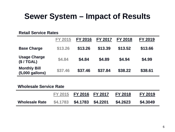### **Sewer System – Impact of Results**

#### **Retail Service Rates**

|                                        | <b>FY 2015</b> | <b>FY 2016</b> | <b>FY 2017</b> | FY 2018 | <b>FY 2019</b> |
|----------------------------------------|----------------|----------------|----------------|---------|----------------|
| <b>Base Charge</b>                     | \$13.26        | \$13.26        | \$13.39        | \$13.52 | \$13.66        |
| <b>Usage Charge</b><br>(\$/TGAL)       | \$4.84         | \$4.84         | \$4.89         | \$4.94  | \$4.99         |
| <b>Monthly Bill</b><br>(5,000 gallons) | \$37.46        | \$37.46        | \$37.84        | \$38.22 | \$38.61        |

#### **Wholesale Service Rate**

|                       | FY 2015 FY 2016 FY 2017    | <b>FY 2018</b> | FY 2019  |
|-----------------------|----------------------------|----------------|----------|
| <b>Wholesale Rate</b> | \$4.1783 \$4.1783 \$4.2201 | \$4.2623       | \$4.3049 |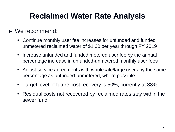## **Reclaimed Water Rate Analysis**

### ► We recommend:

- Continue monthly user fee increases for unfunded and funded unmetered reclaimed water of \$1.00 per year through FY 2019
- Increase unfunded and funded metered user fee by the annual percentage increase in unfunded-unmetered monthly user fees
- Adjust service agreements with wholesale/large users by the same percentage as unfunded-unmetered, where possible
- Target level of future cost recovery is 50%, currently at 33%
- Residual costs not recovered by reclaimed rates stay within the sewer fund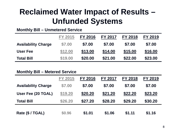## **Reclaimed Water Impact of Results – Unfunded Systems**

#### **Monthly Bill – Unmetered Service**

|                            | <b>FY 2015</b> | <b>FY 2016</b> | <b>FY 2017</b> | <b>FY 2018</b> | <b>FY 2019</b> |
|----------------------------|----------------|----------------|----------------|----------------|----------------|
| <b>Availability Charge</b> | \$7.00         | \$7.00         | \$7.00         | \$7.00         | \$7.00         |
| <b>User Fee</b>            | \$12.00        | \$13.00        | \$14.00        | \$15.00        | \$16.00        |
| <b>Total Bill</b>          | \$19.00        | \$20.00        | \$21.00        | \$22.00        | \$23.00        |

#### **Monthly Bill – Metered Service**

|                            | <b>FY 2015</b> | <b>FY 2016</b> | <b>FY 2017</b> | <b>FY 2018</b> | FY 2019 |
|----------------------------|----------------|----------------|----------------|----------------|---------|
| <b>Availability Charge</b> | \$7.00         | \$7.00         | \$7.00         | \$7.00         | \$7.00  |
| User Fee (20 TGAL)         | \$19.20        | \$20.20        | \$21.20        | \$22.20        | \$23.20 |
| <b>Total Bill</b>          | \$26.20        | \$27.20        | \$28.20        | \$29.20        | \$30.20 |
| Rate (\$ / TGAL)           | \$0.96         | \$1.01         | \$1.06         | \$1.11         | \$1.16  |